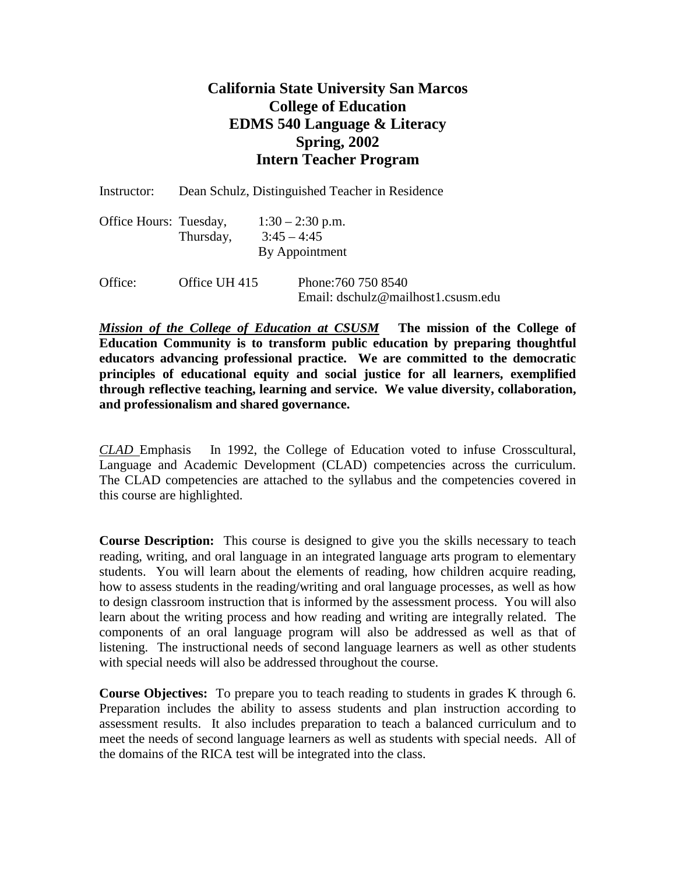## **California State University San Marcos College of Education EDMS 540 Language & Literacy Spring, 2002 Intern Teacher Program**

| Instructor:            | Dean Schulz, Distinguished Teacher in Residence |               |                                                           |
|------------------------|-------------------------------------------------|---------------|-----------------------------------------------------------|
| Office Hours: Tuesday, | Thursday,                                       | $3:45 - 4:45$ | $1:30 - 2:30$ p.m.<br>By Appointment                      |
| Office:                | Office UH 415                                   |               | Phone: 760 750 8540<br>Email: dschulz@mailhost1.csusm.edu |

*Mission of the College of Education at CSUSM* **The mission of the College of Education Community is to transform public education by preparing thoughtful educators advancing professional practice. We are committed to the democratic principles of educational equity and social justice for all learners, exemplified through reflective teaching, learning and service. We value diversity, collaboration, and professionalism and shared governance.**

*CLAD* Emphasis In 1992, the College of Education voted to infuse Crosscultural, Language and Academic Development (CLAD) competencies across the curriculum. The CLAD competencies are attached to the syllabus and the competencies covered in this course are highlighted.

**Course Description:** This course is designed to give you the skills necessary to teach reading, writing, and oral language in an integrated language arts program to elementary students. You will learn about the elements of reading, how children acquire reading, how to assess students in the reading/writing and oral language processes, as well as how to design classroom instruction that is informed by the assessment process. You will also learn about the writing process and how reading and writing are integrally related. The components of an oral language program will also be addressed as well as that of listening. The instructional needs of second language learners as well as other students with special needs will also be addressed throughout the course.

**Course Objectives:** To prepare you to teach reading to students in grades K through 6. Preparation includes the ability to assess students and plan instruction according to assessment results. It also includes preparation to teach a balanced curriculum and to meet the needs of second language learners as well as students with special needs. All of the domains of the RICA test will be integrated into the class.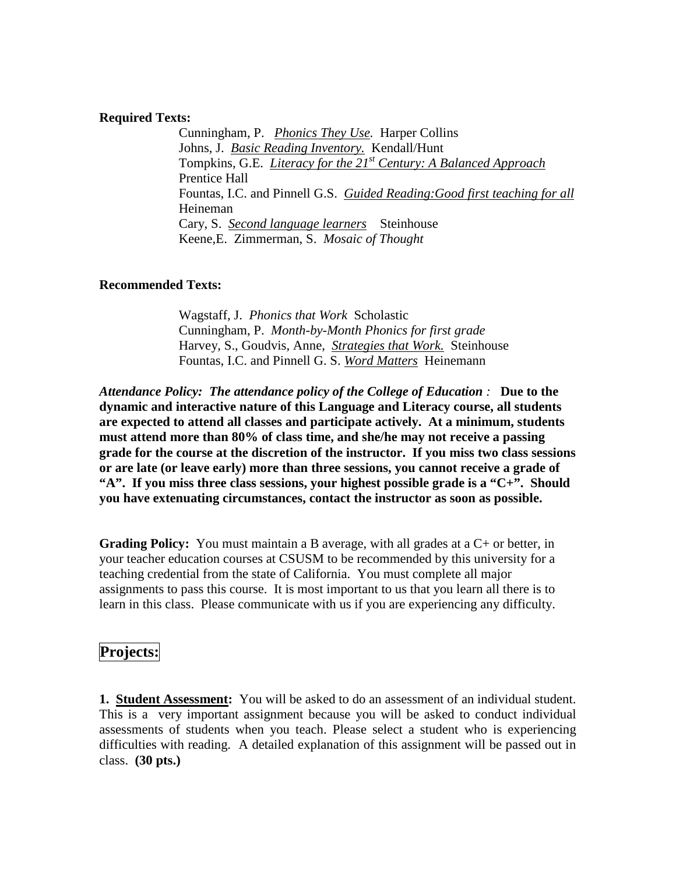### **Required Texts:**

Cunningham, P. *Phonics They Use.* Harper Collins Johns, J. *Basic Reading Inventory.* Kendall/Hunt Tompkins, G.E. *Literacy for the 21st Century: A Balanced Approach* Prentice Hall Fountas, I.C. and Pinnell G.S. *Guided Reading:Good first teaching for all*  Heineman Cary, S. *Second language learners* Steinhouse Keene,E. Zimmerman, S. *Mosaic of Thought*

## **Recommended Texts:**

Wagstaff, J. *Phonics that Work* Scholastic Cunningham, P. *Month-by-Month Phonics for first grade* Harvey, S., Goudvis, Anne, *Strategies that Work.* Steinhouse Fountas, I.C. and Pinnell G. S. *Word Matters* Heinemann

*Attendance Policy: The attendance policy of the College of Education :* **Due to the dynamic and interactive nature of this Language and Literacy course, all students are expected to attend all classes and participate actively. At a minimum, students must attend more than 80% of class time, and she/he may not receive a passing grade for the course at the discretion of the instructor. If you miss two class sessions or are late (or leave early) more than three sessions, you cannot receive a grade of "A". If you miss three class sessions, your highest possible grade is a "C+". Should you have extenuating circumstances, contact the instructor as soon as possible.**

**Grading Policy:** You must maintain a B average, with all grades at a C+ or better, in your teacher education courses at CSUSM to be recommended by this university for a teaching credential from the state of California. You must complete all major assignments to pass this course. It is most important to us that you learn all there is to learn in this class. Please communicate with us if you are experiencing any difficulty.

## **Projects:**

**1. Student Assessment:** You will be asked to do an assessment of an individual student. This is a very important assignment because you will be asked to conduct individual assessments of students when you teach. Please select a student who is experiencing difficulties with reading. A detailed explanation of this assignment will be passed out in class. **(30 pts.)**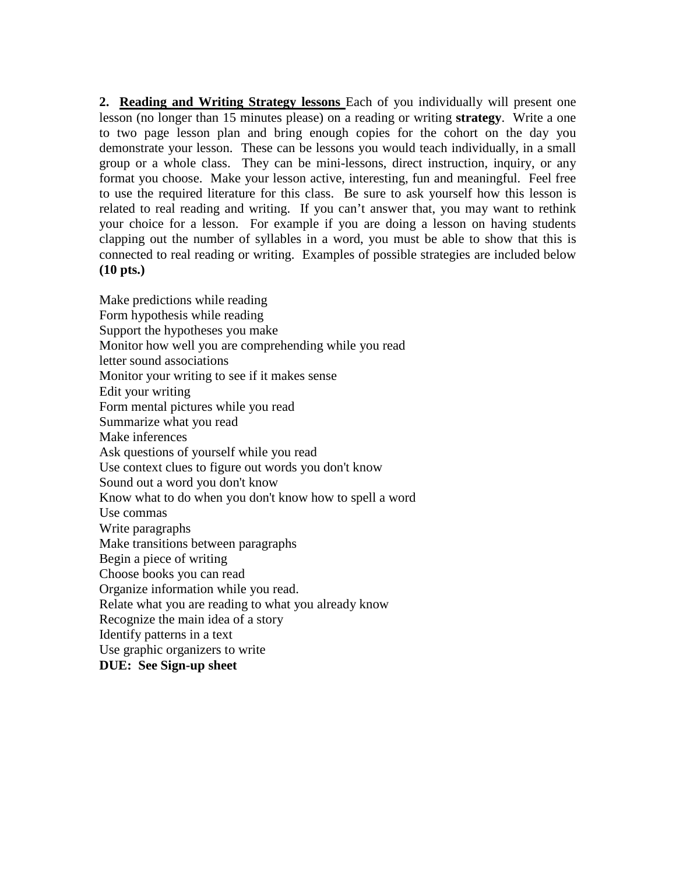**2. Reading and Writing Strategy lessons** Each of you individually will present one lesson (no longer than 15 minutes please) on a reading or writing **strategy**. Write a one to two page lesson plan and bring enough copies for the cohort on the day you demonstrate your lesson. These can be lessons you would teach individually, in a small group or a whole class. They can be mini-lessons, direct instruction, inquiry, or any format you choose. Make your lesson active, interesting, fun and meaningful. Feel free to use the required literature for this class. Be sure to ask yourself how this lesson is related to real reading and writing. If you can't answer that, you may want to rethink your choice for a lesson. For example if you are doing a lesson on having students clapping out the number of syllables in a word, you must be able to show that this is connected to real reading or writing. Examples of possible strategies are included below **(10 pts.)**

Make predictions while reading Form hypothesis while reading Support the hypotheses you make Monitor how well you are comprehending while you read letter sound associations Monitor your writing to see if it makes sense Edit your writing Form mental pictures while you read Summarize what you read Make inferences Ask questions of yourself while you read Use context clues to figure out words you don't know Sound out a word you don't know Know what to do when you don't know how to spell a word Use commas Write paragraphs Make transitions between paragraphs Begin a piece of writing Choose books you can read Organize information while you read. Relate what you are reading to what you already know Recognize the main idea of a story Identify patterns in a text Use graphic organizers to write **DUE: See Sign-up sheet**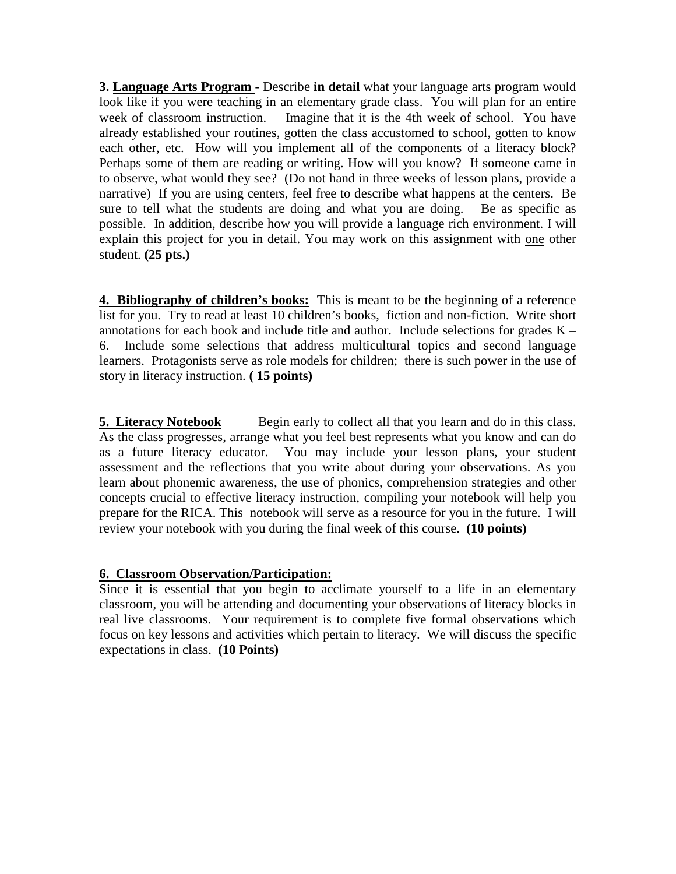**3. Language Arts Program** - Describe **in detail** what your language arts program would look like if you were teaching in an elementary grade class. You will plan for an entire week of classroom instruction. Imagine that it is the 4th week of school. You have already established your routines, gotten the class accustomed to school, gotten to know each other, etc. How will you implement all of the components of a literacy block? Perhaps some of them are reading or writing. How will you know? If someone came in to observe, what would they see? (Do not hand in three weeks of lesson plans, provide a narrative) If you are using centers, feel free to describe what happens at the centers. Be sure to tell what the students are doing and what you are doing. Be as specific as possible. In addition, describe how you will provide a language rich environment. I will explain this project for you in detail. You may work on this assignment with one other student. **(25 pts.)**

**4. Bibliography of children's books:** This is meant to be the beginning of a reference list for you. Try to read at least 10 children's books, fiction and non-fiction. Write short annotations for each book and include title and author. Include selections for grades  $K -$ 6. Include some selections that address multicultural topics and second language learners. Protagonists serve as role models for children; there is such power in the use of story in literacy instruction. **( 15 points)**

**5. Literacy Notebook** Begin early to collect all that you learn and do in this class. As the class progresses, arrange what you feel best represents what you know and can do as a future literacy educator. You may include your lesson plans, your student assessment and the reflections that you write about during your observations. As you learn about phonemic awareness, the use of phonics, comprehension strategies and other concepts crucial to effective literacy instruction, compiling your notebook will help you prepare for the RICA. This notebook will serve as a resource for you in the future. I will review your notebook with you during the final week of this course. **(10 points)**

## **6. Classroom Observation/Participation:**

Since it is essential that you begin to acclimate yourself to a life in an elementary classroom, you will be attending and documenting your observations of literacy blocks in real live classrooms. Your requirement is to complete five formal observations which focus on key lessons and activities which pertain to literacy. We will discuss the specific expectations in class. **(10 Points)**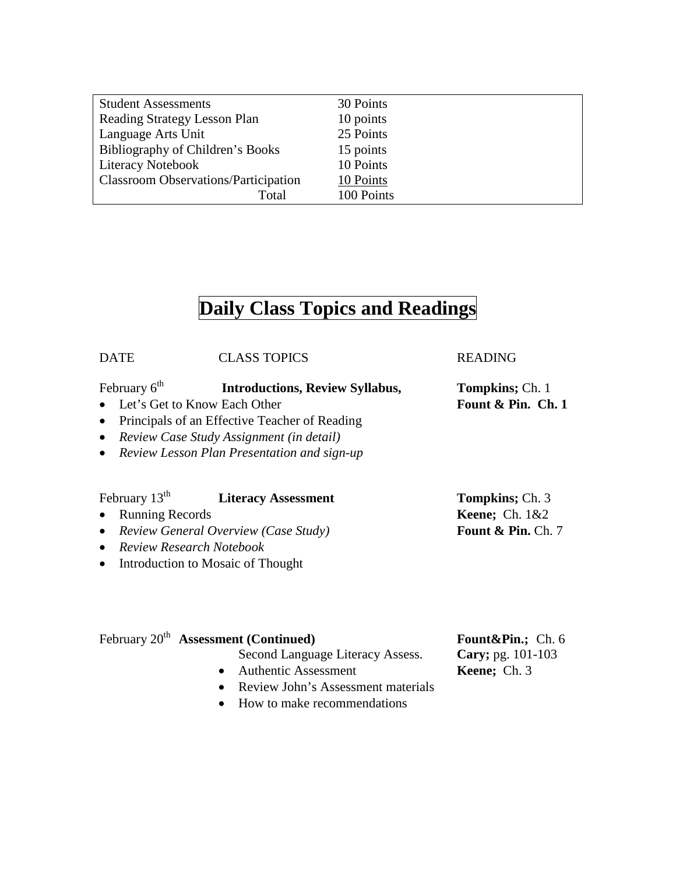| <b>Student Assessments</b>                  | 30 Points  |
|---------------------------------------------|------------|
| Reading Strategy Lesson Plan                | 10 points  |
| Language Arts Unit                          | 25 Points  |
| Bibliography of Children's Books            | 15 points  |
| <b>Literacy Notebook</b>                    | 10 Points  |
| <b>Classroom Observations/Participation</b> | 10 Points  |
| Total                                       | 100 Points |

# **Daily Class Topics and Readings**

| <b>DATE</b>                                     | <b>CLASS TOPICS</b>                    | <b>READING</b>          |
|-------------------------------------------------|----------------------------------------|-------------------------|
| February $6th$                                  | <b>Introductions, Review Syllabus,</b> | <b>Tompkins</b> ; Ch. 1 |
| • Let's Get to Know Each Other                  |                                        | Fount & Pin. Ch. 1      |
| • Principals of an Effective Teacher of Reading |                                        |                         |
|                                                 |                                        |                         |

- *Review Case Study Assignment (in detail)*
- *Review Lesson Plan Presentation and sign-up*

## February  $13<sup>th</sup>$  **Literacy Assessment Tompkins**; Ch. 3

- Running Records **Keene;** Ch. 1&2
- *Review General Overview (Case Study)* **Fount & Pin.** Ch. 7
- *Review Research Notebook*
- Introduction to Mosaic of Thought

# February 20<sup>th</sup> Assessment (Continued) **Fount&Pin.**; Ch. 6

- Second Language Literacy Assess. **Cary;** pg. 101-103
- Authentic Assessment **Keene;** Ch. 3
- Review John's Assessment materials
- How to make recommendations
-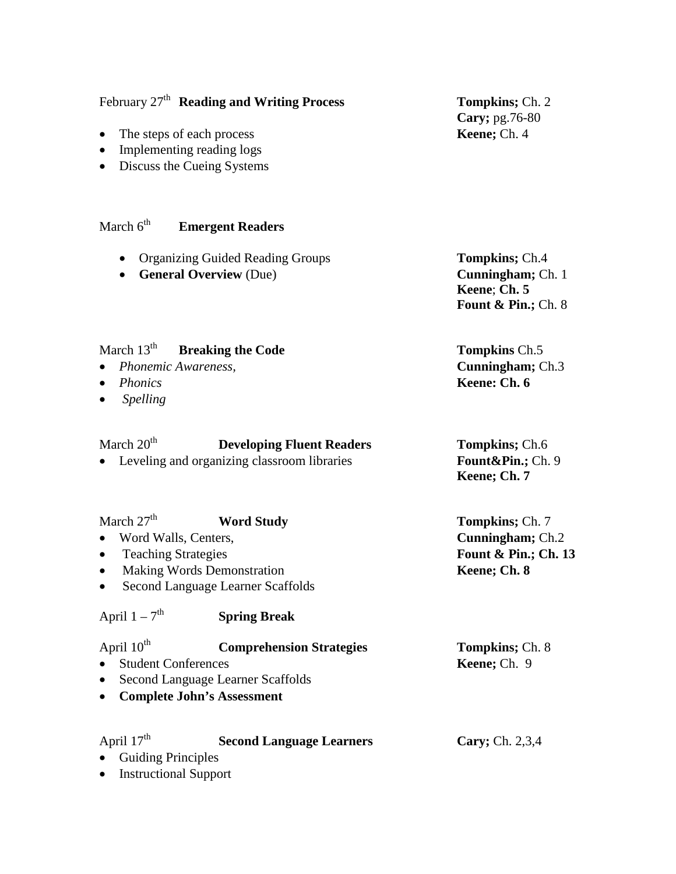|                                                                                                                                                                                                    | February 27 <sup>th</sup> Reading and Writing Process                                                            | Tompkins; Ch. 2<br>Cary; pg.76-80                                                    |
|----------------------------------------------------------------------------------------------------------------------------------------------------------------------------------------------------|------------------------------------------------------------------------------------------------------------------|--------------------------------------------------------------------------------------|
| $\bullet$<br>٠<br>٠                                                                                                                                                                                | The steps of each process<br>Implementing reading logs<br>Discuss the Cueing Systems                             | Keene; Ch. 4                                                                         |
| March $6th$                                                                                                                                                                                        | <b>Emergent Readers</b>                                                                                          |                                                                                      |
| $\bullet$                                                                                                                                                                                          | <b>Organizing Guided Reading Groups</b><br><b>General Overview (Due)</b>                                         | <b>Tompkins</b> ; Ch.4<br>Cunningham; Ch. 1<br>Keene; Ch. 5<br>Fount & Pin.; Ch. $8$ |
| March $13th$<br>Phonemic Awareness,<br><b>Phonics</b><br>$\bullet$<br><b>Spelling</b>                                                                                                              | <b>Breaking the Code</b>                                                                                         | <b>Tompkins Ch.5</b><br>Cunningham; Ch.3<br>Keene: Ch. 6                             |
| March $20th$                                                                                                                                                                                       | <b>Developing Fluent Readers</b><br>Leveling and organizing classroom libraries                                  | <b>Tompkins</b> ; Ch.6<br>Fount&Pin. Ch. 9<br>Keene; Ch. 7                           |
| March $27th$<br><b>Word Study</b><br>Word Walls, Centers,<br><b>Teaching Strategies</b><br>$\bullet$<br><b>Making Words Demonstration</b><br>$\bullet$<br><b>Second Language Learner Scaffolds</b> |                                                                                                                  | <b>Tompkins</b> ; Ch. 7<br>Cunningham; Ch.2<br>Fount & Pin.; Ch. 13<br>Keene; Ch. 8  |
| April $1 - 7$ <sup>th</sup>                                                                                                                                                                        | <b>Spring Break</b>                                                                                              |                                                                                      |
| April $10^{th}$<br><b>Student Conferences</b>                                                                                                                                                      | <b>Comprehension Strategies</b><br><b>Second Language Learner Scaffolds</b><br><b>Complete John's Assessment</b> | <b>Tompkins</b> ; Ch. 8<br>Keene; Ch. 9                                              |
| April 17 <sup>th</sup>                                                                                                                                                                             | <b>Second Language Learners</b>                                                                                  | Cary; Ch. 2,3,4                                                                      |

• Guiding Principles • Instructional Support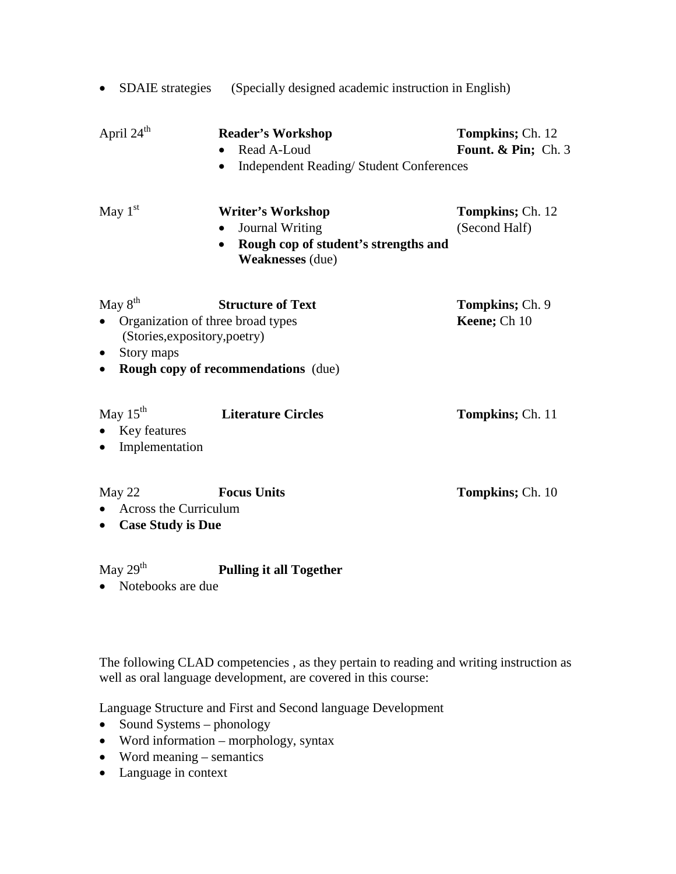| $\bullet$                                                                                                 | SDAIE strategies (Specially designed academic instruction in English)                                                 |                                                 |  |  |
|-----------------------------------------------------------------------------------------------------------|-----------------------------------------------------------------------------------------------------------------------|-------------------------------------------------|--|--|
| April 24 <sup>th</sup>                                                                                    | <b>Reader's Workshop</b><br>Read A-Loud<br><b>Independent Reading/Student Conferences</b>                             | <b>Tompkins</b> ; Ch. 12<br>Fount. & Pin; Ch. 3 |  |  |
| May $1st$                                                                                                 | <b>Writer's Workshop</b><br><b>Journal Writing</b><br>Rough cop of student's strengths and<br><b>Weaknesses</b> (due) | <b>Tompkins</b> ; Ch. 12<br>(Second Half)       |  |  |
| May $8^{\text{th}}$<br>$\bullet$<br>(Stories, expository, poetry)<br>Story maps<br>$\bullet$<br>$\bullet$ | <b>Structure of Text</b><br>Organization of three broad types<br><b>Rough copy of recommendations</b> (due)           | <b>Tompkins</b> ; Ch. 9<br>Keene; Ch 10         |  |  |
| May $15^{th}$<br>Key features<br>$\bullet$<br>Implementation<br>$\bullet$                                 | <b>Literature Circles</b>                                                                                             | <b>Tompkins</b> ; Ch. 11                        |  |  |
| May 22<br>Across the Curriculum<br><b>Case Study is Due</b><br>$\bullet$                                  | <b>Focus Units</b>                                                                                                    | <b>Tompkins</b> ; Ch. 10                        |  |  |
| May $29th$                                                                                                | <b>Pulling it all Together</b>                                                                                        |                                                 |  |  |

• Notebooks are due

The following CLAD competencies , as they pertain to reading and writing instruction as well as oral language development, are covered in this course:

Language Structure and First and Second language Development

- Sound Systems phonology
- Word information morphology, syntax
- Word meaning semantics
- Language in context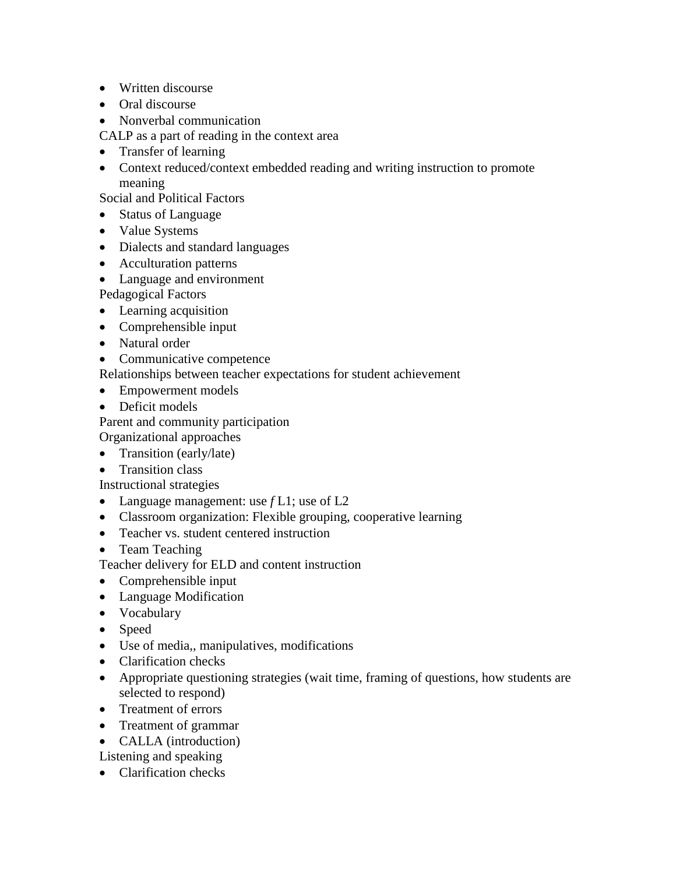- Written discourse
- Oral discourse
- Nonverbal communication

CALP as a part of reading in the context area

- Transfer of learning
- Context reduced/context embedded reading and writing instruction to promote meaning

Social and Political Factors

- Status of Language
- Value Systems
- Dialects and standard languages
- Acculturation patterns
- Language and environment

Pedagogical Factors

- Learning acquisition
- Comprehensible input
- Natural order
- Communicative competence

Relationships between teacher expectations for student achievement

- Empowerment models
- Deficit models

Parent and community participation Organizational approaches

- Transition (early/late)
- Transition class

Instructional strategies

- Language management: use *f* L1; use of L2
- Classroom organization: Flexible grouping, cooperative learning
- Teacher vs. student centered instruction
- Team Teaching

Teacher delivery for ELD and content instruction

- Comprehensible input
- Language Modification
- Vocabulary
- Speed
- Use of media,, manipulatives, modifications
- Clarification checks
- Appropriate questioning strategies (wait time, framing of questions, how students are selected to respond)
- Treatment of errors
- Treatment of grammar
- CALLA (introduction)

Listening and speaking

• Clarification checks